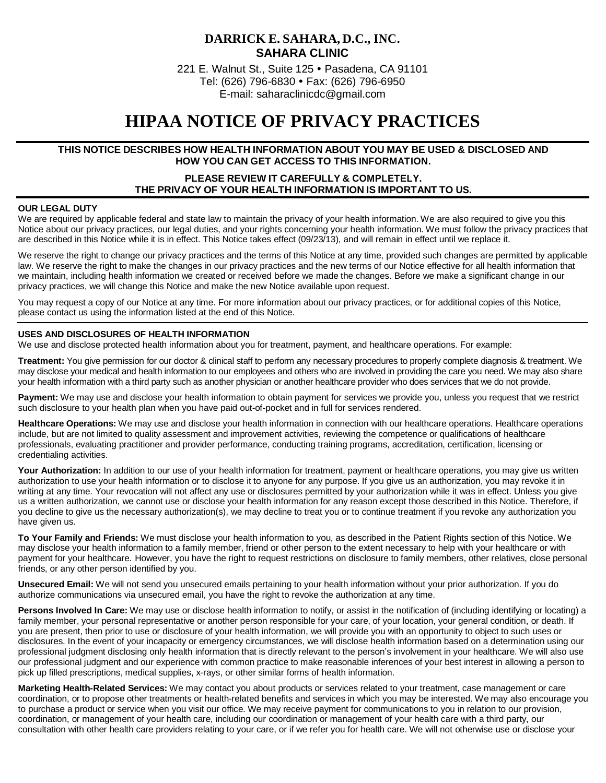# **DARRICK E. SAHARA, D.C., INC. SAHARA CLINIC**

221 E. Walnut St., Suite 125 Pasadena, CA 91101 Tel: (626) 796-6830 Fax: (626) 796-6950 E-m[ail: saharaclinicdc@gmail.com](mailto:saharaclinicdc@gmail.com)

# **HIPAA NOTICE OF PRIVACY PRACTICES**

# **THIS NOTICE DESCRIBES HOW HEALTH INFORMATION ABOUT YOU MAY BE USED & DISCLOSED AND HOW YOU CAN GET ACCESS TO THIS INFORMATION.**

# **PLEASE REVIEW IT CAREFULLY & COMPLETELY. THE PRIVACY OF YOUR HEALTH INFORMATION IS IMPORTANT TO US.**

#### **OUR LEGAL DUTY**

We are required by applicable federal and state law to maintain the privacy of your health information. We are also required to give you this Notice about our privacy practices, our legal duties, and your rights concerning your health information. We must follow the privacy practices that are described in this Notice while it is in effect. This Notice takes effect (09/23/13), and will remain in effect until we replace it.

We reserve the right to change our privacy practices and the terms of this Notice at any time, provided such changes are permitted by applicable law. We reserve the right to make the changes in our privacy practices and the new terms of our Notice effective for all health information that we maintain, including health information we created or received before we made the changes. Before we make a significant change in our privacy practices, we will change this Notice and make the new Notice available upon request.

You may request a copy of our Notice at any time. For more information about our privacy practices, or for additional copies of this Notice, please contact us using the information listed at the end of this Notice.

#### **USES AND DISCLOSURES OF HEALTH INFORMATION**

We use and disclose protected health information about you for treatment, payment, and healthcare operations. For example:

**Treatment:** You give permission for our doctor & clinical staff to perform any necessary procedures to properly complete diagnosis & treatment. We may disclose your medical and health information to our employees and others who are involved in providing the care you need. We may also share your health information with a third party such as another physician or another healthcare provider who does services that we do not provide.

Payment: We may use and disclose your health information to obtain payment for services we provide you, unless you request that we restrict such disclosure to your health plan when you have paid out-of-pocket and in full for services rendered.

**Healthcare Operations:** We may use and disclose your health information in connection with our healthcare operations. Healthcare operations include, but are not limited to quality assessment and improvement activities, reviewing the competence or qualifications of healthcare professionals, evaluating practitioner and provider performance, conducting training programs, accreditation, certification, licensing or credentialing activities.

Your Authorization: In addition to our use of your health information for treatment, payment or healthcare operations, you may give us written authorization to use your health information or to disclose it to anyone for any purpose. If you give us an authorization, you may revoke it in writing at any time. Your revocation will not affect any use or disclosures permitted by your authorization while it was in effect. Unless you give us a written authorization, we cannot use or disclose your health information for any reason except those described in this Notice. Therefore, if you decline to give us the necessary authorization(s), we may decline to treat you or to continue treatment if you revoke any authorization you have given us.

**To Your Family and Friends:** We must disclose your health information to you, as described in the Patient Rights section of this Notice. We may disclose your health information to a family member, friend or other person to the extent necessary to help with your healthcare or with payment for your healthcare. However, you have the right to request restrictions on disclosure to family members, other relatives, close personal friends, or any other person identified by you.

**Unsecured Email:** We will not send you unsecured emails pertaining to your health information without your prior authorization. If you do authorize communications via unsecured email, you have the right to revoke the authorization at any time.

**Persons Involved In Care:** We may use or disclose health information to notify, or assist in the notification of (including identifying or locating) a family member, your personal representative or another person responsible for your care, of your location, your general condition, or death. If you are present, then prior to use or disclosure of your health information, we will provide you with an opportunity to object to such uses or disclosures. In the event of your incapacity or emergency circumstances, we will disclose health information based on a determination using our professional judgment disclosing only health information that is directly relevant to the person's involvement in your healthcare. We will also use our professional judgment and our experience with common practice to make reasonable inferences of your best interest in allowing a person to pick up filled prescriptions, medical supplies, x-rays, or other similar forms of health information.

**Marketing Health-Related Services:** We may contact you about products or services related to your treatment, case management or care coordination, or to propose other treatments or health-related benefits and services in which you may be interested. We may also encourage you to purchase a product or service when you visit our office. We may receive payment for communications to you in relation to our provision, coordination, or management of your health care, including our coordination or management of your health care with a third party, our consultation with other health care providers relating to your care, or if we refer you for health care. We will not otherwise use or disclose your